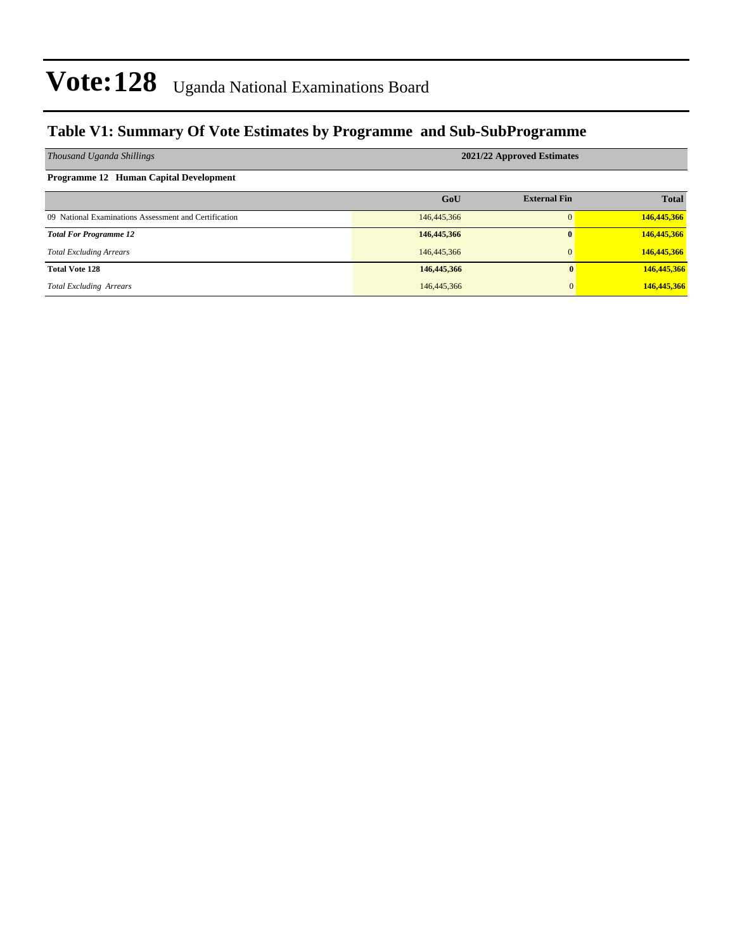#### **Table V1: Summary Of Vote Estimates by Programme and Sub-SubProgramme**

| Thousand Uganda Shillings                             | 2021/22 Approved Estimates |                     |              |  |  |  |  |  |
|-------------------------------------------------------|----------------------------|---------------------|--------------|--|--|--|--|--|
| Programme 12 Human Capital Development                |                            |                     |              |  |  |  |  |  |
|                                                       | GoU                        | <b>External Fin</b> | <b>Total</b> |  |  |  |  |  |
| 09 National Examinations Assessment and Certification | 146,445,366                |                     | 146,445,366  |  |  |  |  |  |
| <b>Total For Programme 12</b>                         | 146,445,366                | 0                   | 146,445,366  |  |  |  |  |  |
| <b>Total Excluding Arrears</b>                        | 146,445,366                | $\mathbf{0}$        | 146,445,366  |  |  |  |  |  |
| <b>Total Vote 128</b>                                 | 146,445,366                | 0                   | 146,445,366  |  |  |  |  |  |
| <b>Total Excluding Arrears</b>                        | 146,445,366                | $\mathbf{0}$        | 146,445,366  |  |  |  |  |  |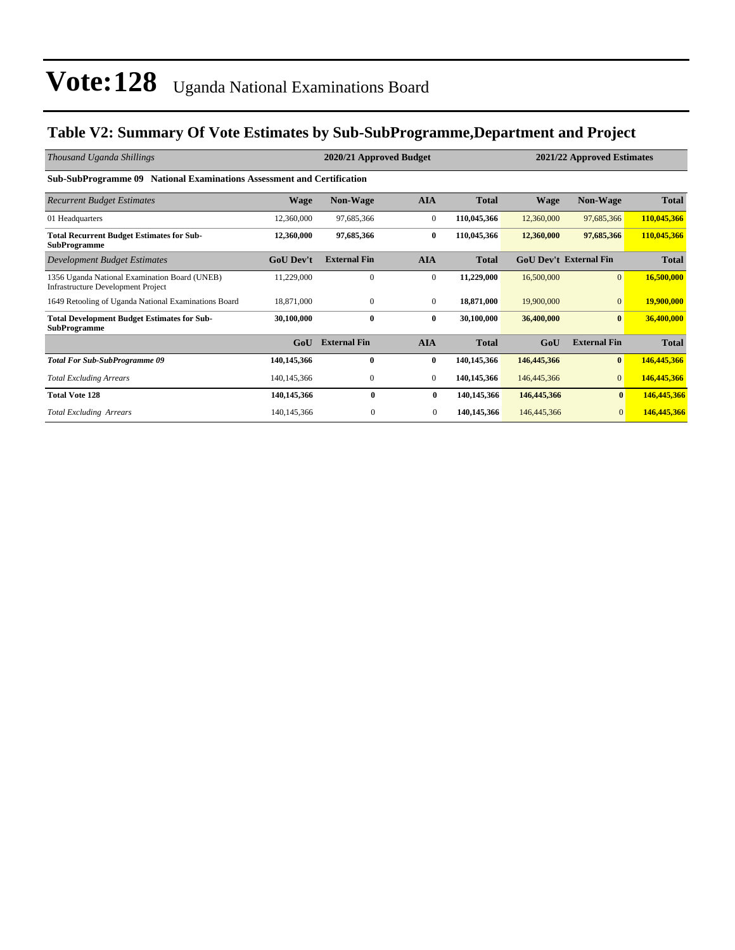#### **Table V2: Summary Of Vote Estimates by Sub-SubProgramme,Department and Project**

| Thousand Uganda Shillings                                                                  |                  | 2020/21 Approved Budget |              | 2021/22 Approved Estimates |             |                               |              |  |  |  |  |
|--------------------------------------------------------------------------------------------|------------------|-------------------------|--------------|----------------------------|-------------|-------------------------------|--------------|--|--|--|--|
| <b>Sub-SubProgramme 09 National Examinations Assessment and Certification</b>              |                  |                         |              |                            |             |                               |              |  |  |  |  |
| <b>Recurrent Budget Estimates</b>                                                          | <b>Wage</b>      | <b>Non-Wage</b>         | <b>AIA</b>   | <b>Total</b>               | <b>Wage</b> | <b>Non-Wage</b>               | <b>Total</b> |  |  |  |  |
| 01 Headquarters                                                                            | 12,360,000       | 97,685,366              | $\mathbf{0}$ | 110,045,366                | 12,360,000  | 97,685,366                    | 110,045,366  |  |  |  |  |
| <b>Total Recurrent Budget Estimates for Sub-</b><br><b>SubProgramme</b>                    | 12,360,000       | 97,685,366              | 0            | 110,045,366                | 12,360,000  | 97,685,366                    | 110,045,366  |  |  |  |  |
| <b>Development Budget Estimates</b>                                                        | <b>GoU Dev't</b> | <b>External Fin</b>     | <b>AIA</b>   | <b>Total</b>               |             | <b>GoU Dev't External Fin</b> | <b>Total</b> |  |  |  |  |
| 1356 Uganda National Examination Board (UNEB)<br><b>Infrastructure Development Project</b> | 11,229,000       | $\mathbf{0}$            | $\mathbf{0}$ | 11,229,000                 | 16,500,000  | $\overline{0}$                | 16,500,000   |  |  |  |  |
| 1649 Retooling of Uganda National Examinations Board                                       | 18,871,000       | $\mathbf{0}$            | $\mathbf{0}$ | 18,871,000                 | 19,900,000  | $\mathbf{0}$                  | 19,900,000   |  |  |  |  |
| <b>Total Development Budget Estimates for Sub-</b><br><b>SubProgramme</b>                  | 30,100,000       | $\mathbf{0}$            | 0            | 30,100,000                 | 36,400,000  | $\mathbf{0}$                  | 36,400,000   |  |  |  |  |
|                                                                                            | GoU              | <b>External Fin</b>     | <b>AIA</b>   | <b>Total</b>               | GoU         | <b>External Fin</b>           | <b>Total</b> |  |  |  |  |
| <b>Total For Sub-SubProgramme 09</b>                                                       | 140.145.366      | $\mathbf{0}$            | 0            | 140,145,366                | 146,445,366 | $\mathbf{0}$                  | 146,445,366  |  |  |  |  |
| <b>Total Excluding Arrears</b>                                                             | 140, 145, 366    | $\boldsymbol{0}$        | $\mathbf{0}$ | 140,145,366                | 146,445,366 | $\mathbf{0}$                  | 146,445,366  |  |  |  |  |
| <b>Total Vote 128</b>                                                                      | 140,145,366      | 0                       | $\bf{0}$     | 140,145,366                | 146,445,366 | $\bf{0}$                      | 146,445,366  |  |  |  |  |
| <b>Total Excluding Arrears</b>                                                             | 140,145,366      | $\Omega$                | $\mathbf{0}$ | 140,145,366                | 146,445,366 | $\mathbf{0}$                  | 146,445,366  |  |  |  |  |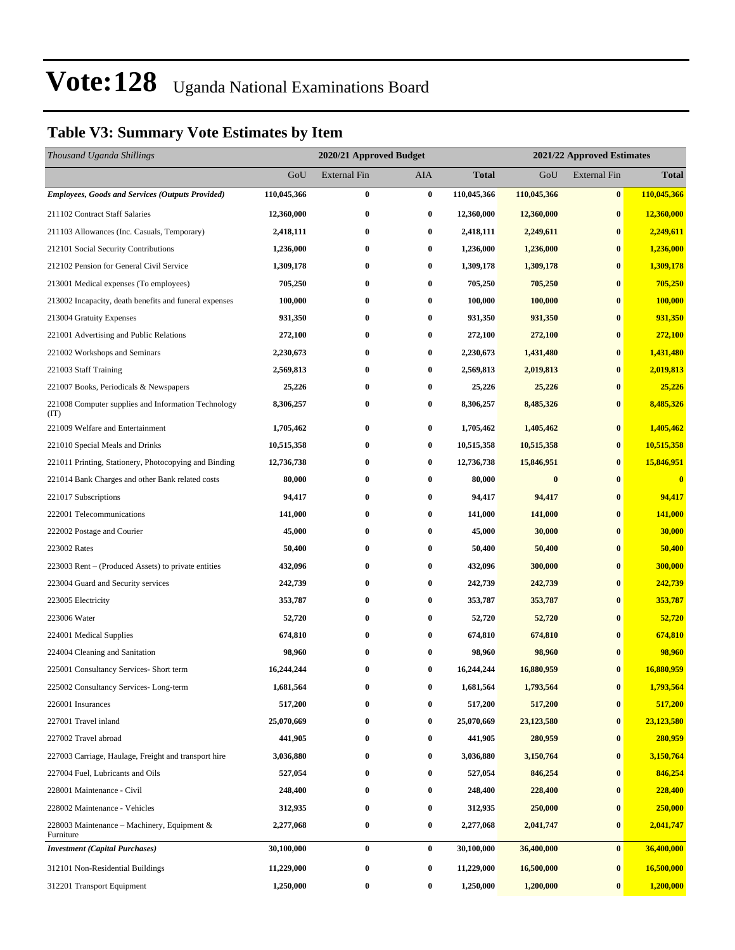#### **Table V3: Summary Vote Estimates by Item**

| Thousand Uganda Shillings                                   | 2020/21 Approved Budget |                     |                  |              | 2021/22 Approved Estimates |                     |              |  |
|-------------------------------------------------------------|-------------------------|---------------------|------------------|--------------|----------------------------|---------------------|--------------|--|
|                                                             | GoU                     | <b>External Fin</b> | AIA              | <b>Total</b> | GoU                        | <b>External Fin</b> | <b>Total</b> |  |
| <b>Employees, Goods and Services (Outputs Provided)</b>     | 110,045,366             | $\bf{0}$            | $\pmb{0}$        | 110,045,366  | 110,045,366                | $\pmb{0}$           | 110,045,366  |  |
| 211102 Contract Staff Salaries                              | 12,360,000              | $\bf{0}$            | $\bf{0}$         | 12,360,000   | 12,360,000                 | $\bf{0}$            | 12,360,000   |  |
| 211103 Allowances (Inc. Casuals, Temporary)                 | 2,418,111               | $\bf{0}$            | $\bf{0}$         | 2,418,111    | 2,249,611                  | $\bf{0}$            | 2,249,611    |  |
| 212101 Social Security Contributions                        | 1,236,000               | $\bf{0}$            | $\bf{0}$         | 1,236,000    | 1,236,000                  | $\bf{0}$            | 1,236,000    |  |
| 212102 Pension for General Civil Service                    | 1,309,178               | $\bf{0}$            | $\bf{0}$         | 1,309,178    | 1,309,178                  | $\bf{0}$            | 1,309,178    |  |
| 213001 Medical expenses (To employees)                      | 705,250                 | $\bf{0}$            | $\bf{0}$         | 705,250      | 705,250                    | $\bf{0}$            | 705,250      |  |
| 213002 Incapacity, death benefits and funeral expenses      | 100,000                 | $\bf{0}$            | $\bf{0}$         | 100,000      | 100,000                    | $\bf{0}$            | 100,000      |  |
| 213004 Gratuity Expenses                                    | 931,350                 | $\bf{0}$            | $\bf{0}$         | 931,350      | 931,350                    | $\bf{0}$            | 931,350      |  |
| 221001 Advertising and Public Relations                     | 272,100                 | $\bf{0}$            | $\bf{0}$         | 272,100      | 272,100                    | $\bf{0}$            | 272,100      |  |
| 221002 Workshops and Seminars                               | 2,230,673               | $\bf{0}$            | $\bf{0}$         | 2,230,673    | 1,431,480                  | $\bf{0}$            | 1,431,480    |  |
| 221003 Staff Training                                       | 2,569,813               | $\bf{0}$            | $\bf{0}$         | 2,569,813    | 2,019,813                  | $\bf{0}$            | 2,019,813    |  |
| 221007 Books, Periodicals & Newspapers                      | 25,226                  | $\bf{0}$            | 0                | 25,226       | 25,226                     | $\bf{0}$            | 25,226       |  |
| 221008 Computer supplies and Information Technology<br>(TT) | 8,306,257               | $\bf{0}$            | $\bf{0}$         | 8,306,257    | 8,485,326                  | $\bf{0}$            | 8,485,326    |  |
| 221009 Welfare and Entertainment                            | 1,705,462               | $\bf{0}$            | $\bf{0}$         | 1,705,462    | 1,405,462                  | $\bf{0}$            | 1,405,462    |  |
| 221010 Special Meals and Drinks                             | 10,515,358              | $\bf{0}$            | $\bf{0}$         | 10,515,358   | 10,515,358                 | $\bf{0}$            | 10,515,358   |  |
| 221011 Printing, Stationery, Photocopying and Binding       | 12,736,738              | $\bf{0}$            | $\bf{0}$         | 12,736,738   | 15,846,951                 | $\bf{0}$            | 15,846,951   |  |
| 221014 Bank Charges and other Bank related costs            | 80,000                  | $\bf{0}$            | $\bf{0}$         | 80,000       | $\bf{0}$                   | $\bf{0}$            | $\bf{0}$     |  |
| 221017 Subscriptions                                        | 94,417                  | $\bf{0}$            | 0                | 94,417       | 94,417                     | $\bf{0}$            | 94,417       |  |
| 222001 Telecommunications                                   | 141,000                 | $\bf{0}$            | $\bf{0}$         | 141,000      | 141,000                    | $\bf{0}$            | 141,000      |  |
| 222002 Postage and Courier                                  | 45,000                  | $\bf{0}$            | 0                | 45,000       | 30,000                     | $\bf{0}$            | 30,000       |  |
| 223002 Rates                                                | 50,400                  | $\bf{0}$            | $\bf{0}$         | 50,400       | 50,400                     | $\bf{0}$            | 50,400       |  |
| 223003 Rent – (Produced Assets) to private entities         | 432,096                 | $\bf{0}$            | $\bf{0}$         | 432,096      | 300,000                    | $\bf{0}$            | 300,000      |  |
| 223004 Guard and Security services                          | 242,739                 | $\bf{0}$            | $\bf{0}$         | 242,739      | 242,739                    | $\bf{0}$            | 242,739      |  |
| 223005 Electricity                                          | 353,787                 | $\bf{0}$            | $\bf{0}$         | 353,787      | 353,787                    | $\bf{0}$            | 353,787      |  |
| 223006 Water                                                | 52,720                  | $\bf{0}$            | $\bf{0}$         | 52,720       | 52,720                     | $\bf{0}$            | 52,720       |  |
| 224001 Medical Supplies                                     | 674,810                 | $\bf{0}$            | $\bf{0}$         | 674,810      | 674,810                    | $\bf{0}$            | 674,810      |  |
| 224004 Cleaning and Sanitation                              | 98,960                  | $\bf{0}$            | 0                | 98,960       | 98,960                     | $\bf{0}$            | 98,960       |  |
| 225001 Consultancy Services- Short term                     | 16,244,244              | $\bf{0}$            | $\bf{0}$         | 16,244,244   | 16,880,959                 | $\bf{0}$            | 16,880,959   |  |
| 225002 Consultancy Services-Long-term                       | 1,681,564               | $\bf{0}$            | 0                | 1,681,564    | 1,793,564                  | $\bf{0}$            | 1,793,564    |  |
| 226001 Insurances                                           | 517,200                 | 0                   | 0                | 517,200      | 517,200                    | $\bf{0}$            | 517,200      |  |
| 227001 Travel inland                                        | 25,070,669              | $\bf{0}$            | $\boldsymbol{0}$ | 25,070,669   | 23,123,580                 | $\boldsymbol{0}$    | 23,123,580   |  |
| 227002 Travel abroad                                        | 441,905                 | $\bf{0}$            | $\bf{0}$         | 441,905      | 280,959                    | $\bf{0}$            | 280,959      |  |
| 227003 Carriage, Haulage, Freight and transport hire        | 3,036,880               | $\bf{0}$            | 0                | 3,036,880    | 3,150,764                  | $\boldsymbol{0}$    | 3,150,764    |  |
| 227004 Fuel, Lubricants and Oils                            | 527,054                 | $\bf{0}$            | $\bf{0}$         | 527,054      | 846,254                    | $\bf{0}$            | 846,254      |  |
| 228001 Maintenance - Civil                                  | 248,400                 | $\bf{0}$            | $\bf{0}$         | 248,400      | 228,400                    | $\bf{0}$            | 228,400      |  |
| 228002 Maintenance - Vehicles                               | 312,935                 | $\bf{0}$            | $\bf{0}$         | 312,935      | 250,000                    | $\bf{0}$            | 250,000      |  |
| 228003 Maintenance – Machinery, Equipment &<br>Furniture    | 2,277,068               | $\bf{0}$            | $\boldsymbol{0}$ | 2,277,068    | 2,041,747                  | $\bf{0}$            | 2,041,747    |  |
| <b>Investment</b> (Capital Purchases)                       | 30,100,000              | $\bf{0}$            | $\bf{0}$         | 30,100,000   | 36,400,000                 | $\bf{0}$            | 36,400,000   |  |
| 312101 Non-Residential Buildings                            | 11,229,000              | $\bf{0}$            | $\bf{0}$         | 11,229,000   | 16,500,000                 | $\bf{0}$            | 16,500,000   |  |
| 312201 Transport Equipment                                  | 1,250,000               | $\bf{0}$            | 0                | 1,250,000    | 1,200,000                  | $\bf{0}$            | 1,200,000    |  |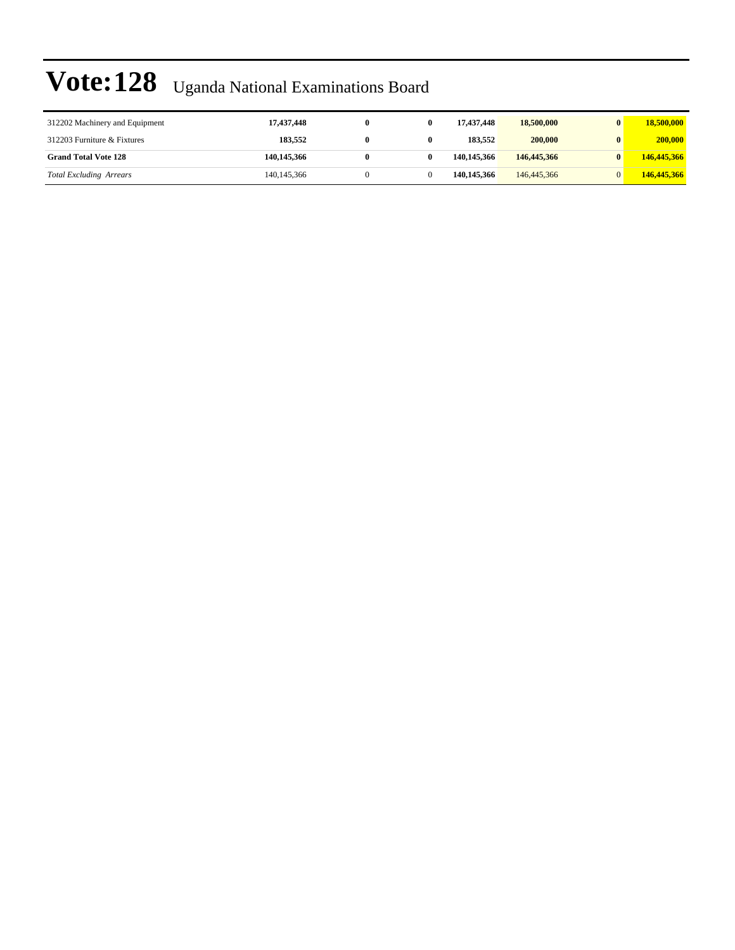| 312202 Machinery and Equipment | 17,437,448    |  | 17.437.448  | 18,500,000  | $\mathbf{0}$ | 18,500,000  |
|--------------------------------|---------------|--|-------------|-------------|--------------|-------------|
| 312203 Furniture & Fixtures    | 183,552       |  | 183.552     | 200,000     | $\mathbf{0}$ | 200,000     |
| <b>Grand Total Vote 128</b>    | 140,145,366   |  | 140,145,366 | 146,445,366 |              | 146,445,366 |
| <b>Total Excluding Arrears</b> | 140, 145, 366 |  | 140,145,366 | 146,445,366 |              | 146,445,366 |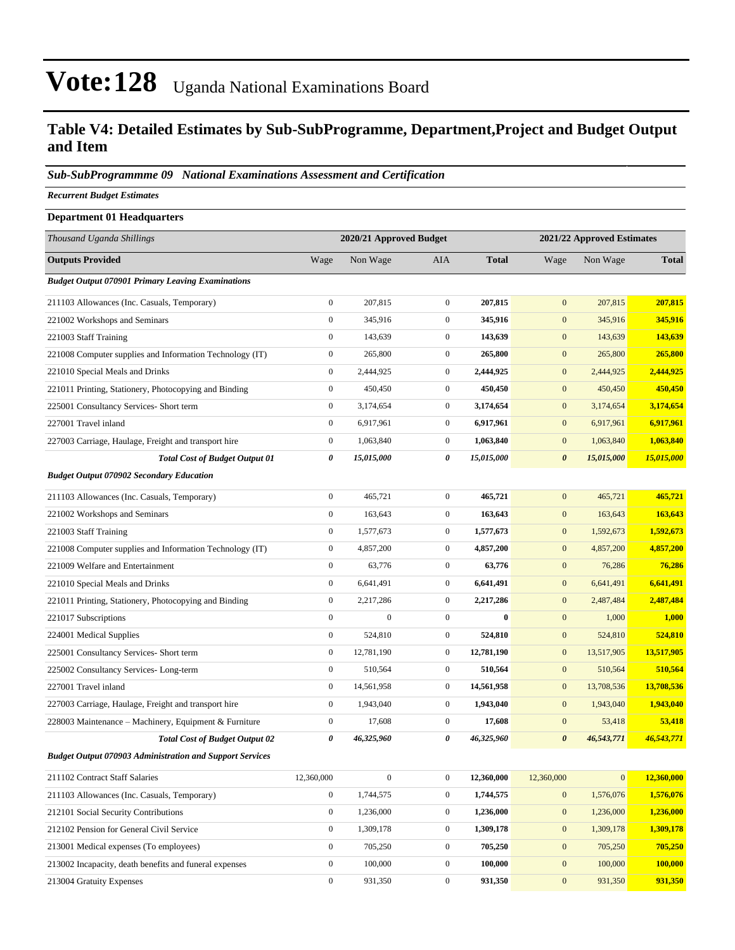#### **Table V4: Detailed Estimates by Sub-SubProgramme, Department,Project and Budget Output and Item**

#### *Sub-SubProgrammme 09 National Examinations Assessment and Certification*

*Recurrent Budget Estimates*

| <b>Department 01 Headquarters</b>                               |                  |                         |                  |              |                            |              |              |  |
|-----------------------------------------------------------------|------------------|-------------------------|------------------|--------------|----------------------------|--------------|--------------|--|
| Thousand Uganda Shillings                                       |                  | 2020/21 Approved Budget |                  |              | 2021/22 Approved Estimates |              |              |  |
| <b>Outputs Provided</b>                                         | Wage             | Non Wage                | AIA              | <b>Total</b> | Wage                       | Non Wage     | <b>Total</b> |  |
| <b>Budget Output 070901 Primary Leaving Examinations</b>        |                  |                         |                  |              |                            |              |              |  |
| 211103 Allowances (Inc. Casuals, Temporary)                     | $\overline{0}$   | 207,815                 | $\boldsymbol{0}$ | 207,815      | $\mathbf{0}$               | 207,815      | 207,815      |  |
| 221002 Workshops and Seminars                                   | $\boldsymbol{0}$ | 345,916                 | $\mathbf{0}$     | 345,916      | $\mathbf{0}$               | 345,916      | 345,916      |  |
| 221003 Staff Training                                           | $\boldsymbol{0}$ | 143,639                 | $\mathbf{0}$     | 143,639      | $\mathbf{0}$               | 143,639      | 143,639      |  |
| 221008 Computer supplies and Information Technology (IT)        | $\boldsymbol{0}$ | 265,800                 | $\boldsymbol{0}$ | 265,800      | $\bf{0}$                   | 265,800      | 265,800      |  |
| 221010 Special Meals and Drinks                                 | $\boldsymbol{0}$ | 2,444,925               | $\boldsymbol{0}$ | 2,444,925    | $\boldsymbol{0}$           | 2,444,925    | 2,444,925    |  |
| 221011 Printing, Stationery, Photocopying and Binding           | $\overline{0}$   | 450,450                 | $\boldsymbol{0}$ | 450,450      | $\mathbf{0}$               | 450,450      | 450,450      |  |
| 225001 Consultancy Services- Short term                         | $\overline{0}$   | 3,174,654               | $\mathbf{0}$     | 3,174,654    | $\mathbf{0}$               | 3,174,654    | 3,174,654    |  |
| 227001 Travel inland                                            | $\boldsymbol{0}$ | 6,917,961               | $\boldsymbol{0}$ | 6,917,961    | $\boldsymbol{0}$           | 6,917,961    | 6,917,961    |  |
| 227003 Carriage, Haulage, Freight and transport hire            | $\boldsymbol{0}$ | 1,063,840               | $\boldsymbol{0}$ | 1,063,840    | $\bf{0}$                   | 1,063,840    | 1,063,840    |  |
| <b>Total Cost of Budget Output 01</b>                           | 0                | 15,015,000              | 0                | 15,015,000   | $\boldsymbol{\theta}$      | 15,015,000   | 15,015,000   |  |
| <b>Budget Output 070902 Secondary Education</b>                 |                  |                         |                  |              |                            |              |              |  |
| 211103 Allowances (Inc. Casuals, Temporary)                     | $\boldsymbol{0}$ | 465,721                 | $\mathbf{0}$     | 465,721      | $\mathbf{0}$               | 465,721      | 465,721      |  |
| 221002 Workshops and Seminars                                   | $\overline{0}$   | 163,643                 | $\boldsymbol{0}$ | 163,643      | $\boldsymbol{0}$           | 163,643      | 163,643      |  |
| 221003 Staff Training                                           | $\boldsymbol{0}$ | 1,577,673               | $\boldsymbol{0}$ | 1,577,673    | $\boldsymbol{0}$           | 1,592,673    | 1,592,673    |  |
| 221008 Computer supplies and Information Technology (IT)        | $\boldsymbol{0}$ | 4,857,200               | $\mathbf{0}$     | 4,857,200    | $\boldsymbol{0}$           | 4,857,200    | 4,857,200    |  |
| 221009 Welfare and Entertainment                                | $\boldsymbol{0}$ | 63,776                  | $\boldsymbol{0}$ | 63,776       | $\mathbf{0}$               | 76,286       | 76,286       |  |
| 221010 Special Meals and Drinks                                 | $\boldsymbol{0}$ | 6,641,491               | $\mathbf{0}$     | 6,641,491    | $\boldsymbol{0}$           | 6,641,491    | 6,641,491    |  |
| 221011 Printing, Stationery, Photocopying and Binding           | $\boldsymbol{0}$ | 2,217,286               | $\boldsymbol{0}$ | 2,217,286    | $\mathbf{0}$               | 2,487,484    | 2,487,484    |  |
| 221017 Subscriptions                                            | $\boldsymbol{0}$ | $\boldsymbol{0}$        | $\mathbf{0}$     | $\bf{0}$     | $\boldsymbol{0}$           | 1,000        | 1,000        |  |
| 224001 Medical Supplies                                         | $\boldsymbol{0}$ | 524,810                 | $\mathbf{0}$     | 524,810      | $\mathbf{0}$               | 524,810      | 524,810      |  |
| 225001 Consultancy Services- Short term                         | $\boldsymbol{0}$ | 12,781,190              | $\boldsymbol{0}$ | 12,781,190   | $\boldsymbol{0}$           | 13,517,905   | 13,517,905   |  |
| 225002 Consultancy Services-Long-term                           | $\boldsymbol{0}$ | 510,564                 | $\mathbf{0}$     | 510,564      | $\boldsymbol{0}$           | 510,564      | 510,564      |  |
| 227001 Travel inland                                            | $\boldsymbol{0}$ | 14,561,958              | $\boldsymbol{0}$ | 14,561,958   | $\boldsymbol{0}$           | 13,708,536   | 13,708,536   |  |
| 227003 Carriage, Haulage, Freight and transport hire            | $\boldsymbol{0}$ | 1,943,040               | $\mathbf{0}$     | 1,943,040    | $\mathbf{0}$               | 1,943,040    | 1,943,040    |  |
| 228003 Maintenance – Machinery, Equipment & Furniture           | $\boldsymbol{0}$ | 17,608                  | $\mathbf{0}$     | 17,608       | $\mathbf{0}$               | 53,418       | 53,418       |  |
| <b>Total Cost of Budget Output 02</b>                           | 0                | 46,325,960              | 0                | 46,325,960   | $\boldsymbol{\theta}$      | 46,543,771   | 46,543,771   |  |
| <b>Budget Output 070903 Administration and Support Services</b> |                  |                         |                  |              |                            |              |              |  |
| 211102 Contract Staff Salaries                                  | 12,360,000       | $\boldsymbol{0}$        | $\boldsymbol{0}$ | 12,360,000   | 12,360,000                 | $\mathbf{0}$ | 12,360,000   |  |
| 211103 Allowances (Inc. Casuals, Temporary)                     | $\boldsymbol{0}$ | 1,744,575               | $\boldsymbol{0}$ | 1,744,575    | $\boldsymbol{0}$           | 1,576,076    | 1,576,076    |  |
| 212101 Social Security Contributions                            | $\boldsymbol{0}$ | 1,236,000               | $\boldsymbol{0}$ | 1,236,000    | $\boldsymbol{0}$           | 1,236,000    | 1,236,000    |  |
| 212102 Pension for General Civil Service                        | $\boldsymbol{0}$ | 1,309,178               | $\mathbf{0}$     | 1,309,178    | $\mathbf{0}$               | 1,309,178    | 1,309,178    |  |
| 213001 Medical expenses (To employees)                          | $\boldsymbol{0}$ | 705,250                 | $\boldsymbol{0}$ | 705,250      | $\boldsymbol{0}$           | 705,250      | 705,250      |  |
| 213002 Incapacity, death benefits and funeral expenses          | $\boldsymbol{0}$ | 100,000                 | $\mathbf{0}$     | 100,000      | $\boldsymbol{0}$           | 100,000      | 100,000      |  |
| 213004 Gratuity Expenses                                        | $\boldsymbol{0}$ | 931,350                 | $\boldsymbol{0}$ | 931,350      | $\boldsymbol{0}$           | 931,350      | 931,350      |  |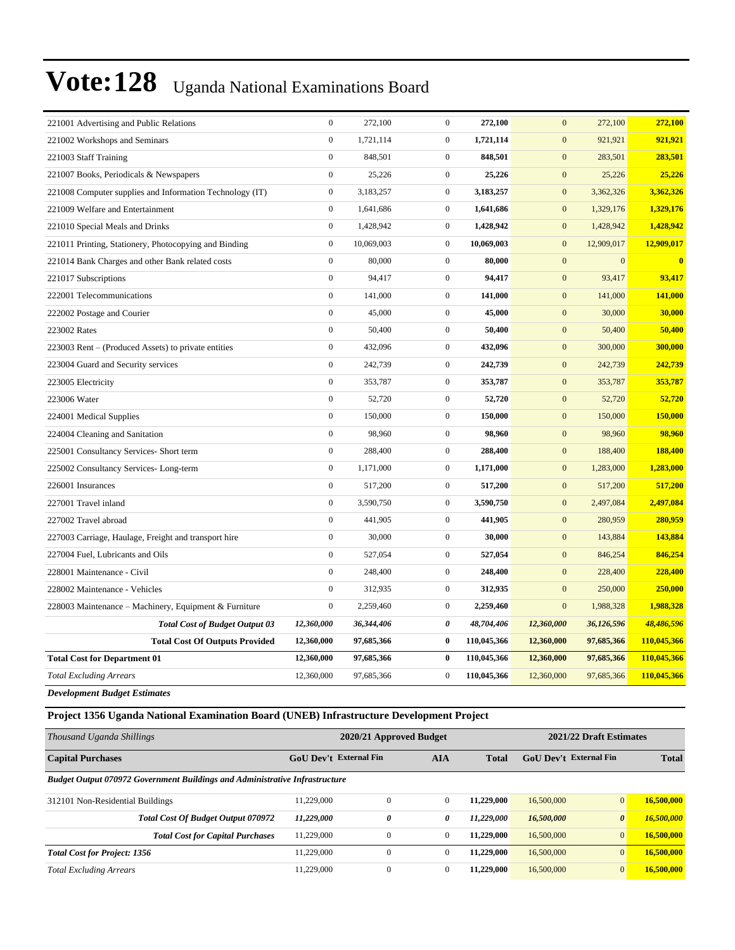| $\boldsymbol{0}$<br>$\boldsymbol{0}$<br>221002 Workshops and Seminars<br>1,721,114<br>1,721,114<br>$\mathbf{0}$<br>921,921<br>$\mathbf{0}$<br>848,501<br>$\overline{0}$<br>$\mathbf{0}$<br>221003 Staff Training<br>848,501<br>283,501<br>$\mathbf{0}$<br>$\overline{0}$<br>25,226<br>25,226<br>$\mathbf{0}$<br>25,226<br>221007 Books, Periodicals & Newspapers<br>$\boldsymbol{0}$<br>3,183,257<br>$\overline{0}$<br>3,183,257<br>$\boldsymbol{0}$<br>3,362,326<br>221008 Computer supplies and Information Technology (IT)<br>$\mathbf{0}$<br>221009 Welfare and Entertainment<br>1,641,686<br>$\boldsymbol{0}$<br>1,641,686<br>$\mathbf{0}$<br>1,329,176<br>$\mathbf{0}$<br>1,428,942<br>$\overline{0}$<br>1,428,942<br>$\mathbf{0}$<br>1,428,942<br>221010 Special Meals and Drinks | 921,921<br>283,501<br>25,226<br>3,362,326<br>1,329,176<br>1,428,942<br>12,909,017<br>$\bf{0}$<br>93,417<br>141,000<br>30,000 |
|------------------------------------------------------------------------------------------------------------------------------------------------------------------------------------------------------------------------------------------------------------------------------------------------------------------------------------------------------------------------------------------------------------------------------------------------------------------------------------------------------------------------------------------------------------------------------------------------------------------------------------------------------------------------------------------------------------------------------------------------------------------------------------------|------------------------------------------------------------------------------------------------------------------------------|
|                                                                                                                                                                                                                                                                                                                                                                                                                                                                                                                                                                                                                                                                                                                                                                                          |                                                                                                                              |
|                                                                                                                                                                                                                                                                                                                                                                                                                                                                                                                                                                                                                                                                                                                                                                                          |                                                                                                                              |
|                                                                                                                                                                                                                                                                                                                                                                                                                                                                                                                                                                                                                                                                                                                                                                                          |                                                                                                                              |
|                                                                                                                                                                                                                                                                                                                                                                                                                                                                                                                                                                                                                                                                                                                                                                                          |                                                                                                                              |
|                                                                                                                                                                                                                                                                                                                                                                                                                                                                                                                                                                                                                                                                                                                                                                                          |                                                                                                                              |
|                                                                                                                                                                                                                                                                                                                                                                                                                                                                                                                                                                                                                                                                                                                                                                                          |                                                                                                                              |
| $\boldsymbol{0}$<br>10,069,003<br>$\overline{0}$<br>10,069,003<br>$\mathbf{0}$<br>12,909,017<br>221011 Printing, Stationery, Photocopying and Binding                                                                                                                                                                                                                                                                                                                                                                                                                                                                                                                                                                                                                                    |                                                                                                                              |
| $\boldsymbol{0}$<br>80,000<br>80,000<br>$\mathbf{0}$<br>$\overline{0}$<br>$\mathbf{0}$<br>221014 Bank Charges and other Bank related costs                                                                                                                                                                                                                                                                                                                                                                                                                                                                                                                                                                                                                                               |                                                                                                                              |
| $\mathbf{0}$<br>94,417<br>$\overline{0}$<br>94,417<br>$\mathbf{0}$<br>93,417<br>221017 Subscriptions                                                                                                                                                                                                                                                                                                                                                                                                                                                                                                                                                                                                                                                                                     |                                                                                                                              |
| $\boldsymbol{0}$<br>141,000<br>$\overline{0}$<br>141,000<br>141,000<br>222001 Telecommunications<br>$\mathbf{0}$                                                                                                                                                                                                                                                                                                                                                                                                                                                                                                                                                                                                                                                                         |                                                                                                                              |
| $\boldsymbol{0}$<br>$\overline{0}$<br>45,000<br>45,000<br>$\mathbf{0}$<br>30,000<br>222002 Postage and Courier                                                                                                                                                                                                                                                                                                                                                                                                                                                                                                                                                                                                                                                                           |                                                                                                                              |
| 223002 Rates<br>$\mathbf{0}$<br>50,400<br>$\overline{0}$<br>50,400<br>$\mathbf{0}$<br>50,400                                                                                                                                                                                                                                                                                                                                                                                                                                                                                                                                                                                                                                                                                             | 50,400                                                                                                                       |
| $\boldsymbol{0}$<br>432,096<br>$\overline{0}$<br>432,096<br>$\mathbf{0}$<br>300,000<br>223003 Rent – (Produced Assets) to private entities                                                                                                                                                                                                                                                                                                                                                                                                                                                                                                                                                                                                                                               | 300,000                                                                                                                      |
| $\boldsymbol{0}$<br>$\overline{0}$<br>223004 Guard and Security services<br>242,739<br>242,739<br>$\mathbf{0}$<br>242,739                                                                                                                                                                                                                                                                                                                                                                                                                                                                                                                                                                                                                                                                | 242,739                                                                                                                      |
| $\mathbf{0}$<br>$\overline{0}$<br>353,787<br>$\boldsymbol{0}$<br>223005 Electricity<br>353,787<br>353,787                                                                                                                                                                                                                                                                                                                                                                                                                                                                                                                                                                                                                                                                                | 353,787                                                                                                                      |
| $\mathbf{0}$<br>$\overline{0}$<br>52,720<br>$\mathbf{0}$<br>52,720<br>223006 Water<br>52,720                                                                                                                                                                                                                                                                                                                                                                                                                                                                                                                                                                                                                                                                                             | 52,720                                                                                                                       |
| $\mathbf{0}$<br>150,000<br>$\overline{0}$<br>150,000<br>$\mathbf{0}$<br>224001 Medical Supplies<br>150,000                                                                                                                                                                                                                                                                                                                                                                                                                                                                                                                                                                                                                                                                               | 150,000                                                                                                                      |
| $\boldsymbol{0}$<br>98,960<br>$\boldsymbol{0}$<br>98,960<br>$\mathbf{0}$<br>98,960<br>224004 Cleaning and Sanitation                                                                                                                                                                                                                                                                                                                                                                                                                                                                                                                                                                                                                                                                     | 98,960                                                                                                                       |
| $\mathbf{0}$<br>288,400<br>$\overline{0}$<br>288,400<br>$\mathbf{0}$<br>225001 Consultancy Services- Short term<br>188,400                                                                                                                                                                                                                                                                                                                                                                                                                                                                                                                                                                                                                                                               | 188,400                                                                                                                      |
| $\boldsymbol{0}$<br>$\overline{0}$<br>$\mathbf{0}$<br>225002 Consultancy Services-Long-term<br>1,171,000<br>1,171,000<br>1,283,000                                                                                                                                                                                                                                                                                                                                                                                                                                                                                                                                                                                                                                                       | 1,283,000                                                                                                                    |
| $\boldsymbol{0}$<br>$\overline{0}$<br>$\mathbf{0}$<br>226001 Insurances<br>517,200<br>517,200<br>517,200                                                                                                                                                                                                                                                                                                                                                                                                                                                                                                                                                                                                                                                                                 | 517,200                                                                                                                      |
| $\mathbf{0}$<br>227001 Travel inland<br>3,590,750<br>$\overline{0}$<br>3,590,750<br>$\boldsymbol{0}$<br>2,497,084                                                                                                                                                                                                                                                                                                                                                                                                                                                                                                                                                                                                                                                                        | 2,497,084                                                                                                                    |
| $\boldsymbol{0}$<br>441,905<br>$\overline{0}$<br>441,905<br>$\mathbf{0}$<br>280,959<br>227002 Travel abroad                                                                                                                                                                                                                                                                                                                                                                                                                                                                                                                                                                                                                                                                              | 280,959                                                                                                                      |
| $\boldsymbol{0}$<br>30,000<br>$\overline{0}$<br>30,000<br>$\mathbf{0}$<br>143,884<br>227003 Carriage, Haulage, Freight and transport hire                                                                                                                                                                                                                                                                                                                                                                                                                                                                                                                                                                                                                                                | 143,884                                                                                                                      |
| $\boldsymbol{0}$<br>$\boldsymbol{0}$<br>227004 Fuel, Lubricants and Oils<br>527,054<br>527,054<br>$\mathbf{0}$<br>846,254                                                                                                                                                                                                                                                                                                                                                                                                                                                                                                                                                                                                                                                                | 846,254                                                                                                                      |
| $\mathbf{0}$<br>248,400<br>$\overline{0}$<br>248,400<br>$\mathbf{0}$<br>228,400<br>228001 Maintenance - Civil                                                                                                                                                                                                                                                                                                                                                                                                                                                                                                                                                                                                                                                                            | 228,400                                                                                                                      |
| $\boldsymbol{0}$<br>$\overline{0}$<br>312,935<br>228002 Maintenance - Vehicles<br>312,935<br>$\mathbf{0}$<br>250,000                                                                                                                                                                                                                                                                                                                                                                                                                                                                                                                                                                                                                                                                     | 250,000                                                                                                                      |
| $\boldsymbol{0}$<br>2,259,460<br>$\boldsymbol{0}$<br>2,259,460<br>$\mathbf{0}$<br>1,988,328<br>228003 Maintenance – Machinery, Equipment & Furniture                                                                                                                                                                                                                                                                                                                                                                                                                                                                                                                                                                                                                                     | 1,988,328                                                                                                                    |
| <b>Total Cost of Budget Output 03</b><br>12,360,000<br>36,344,406<br>0<br>48,704,406<br>12,360,000<br>36,126,596                                                                                                                                                                                                                                                                                                                                                                                                                                                                                                                                                                                                                                                                         | 48,486,596                                                                                                                   |
| 97,685,366<br>110,045,366<br>12,360,000<br>97,685,366<br><b>Total Cost Of Outputs Provided</b><br>12,360,000<br>$\bf{0}$                                                                                                                                                                                                                                                                                                                                                                                                                                                                                                                                                                                                                                                                 | 110,045,366                                                                                                                  |
| <b>Total Cost for Department 01</b><br>12,360,000<br>97,685,366<br>$\boldsymbol{0}$<br>110,045,366<br>12,360,000<br>97,685,366                                                                                                                                                                                                                                                                                                                                                                                                                                                                                                                                                                                                                                                           | 110,045,366                                                                                                                  |
| $\overline{0}$<br><b>Total Excluding Arrears</b><br>12,360,000<br>97,685,366<br>110,045,366<br>12,360,000<br>97,685,366                                                                                                                                                                                                                                                                                                                                                                                                                                                                                                                                                                                                                                                                  | 110,045,366                                                                                                                  |

*Development Budget Estimates*

**Project 1356 Uganda National Examination Board (UNEB) Infrastructure Development Project**

| Thousand Uganda Shillings                                                          | 2020/21 Approved Budget                     |          |                |                               | 2021/22 Draft Estimates |                       |            |
|------------------------------------------------------------------------------------|---------------------------------------------|----------|----------------|-------------------------------|-------------------------|-----------------------|------------|
| <b>Capital Purchases</b>                                                           | <b>GoU Dev't External Fin</b><br><b>AIA</b> |          | <b>Total</b>   | <b>GoU</b> Dev't External Fin |                         | <b>Total</b>          |            |
| <b>Budget Output 070972 Government Buildings and Administrative Infrastructure</b> |                                             |          |                |                               |                         |                       |            |
| 312101 Non-Residential Buildings                                                   | 11.229,000                                  | 0        | $\overline{0}$ | 11.229,000                    | 16,500,000              | $\overline{0}$        | 16,500,000 |
| <b>Total Cost Of Budget Output 070972</b>                                          | 11,229,000                                  | 0        | 0              | 11,229,000                    | 16,500,000              | $\boldsymbol{\theta}$ | 16,500,000 |
| <b>Total Cost for Capital Purchases</b>                                            | 11.229,000                                  | 0        | $\overline{0}$ | 11,229,000                    | 16,500,000              | $\overline{0}$        | 16,500,000 |
| <b>Total Cost for Project: 1356</b>                                                | 11,229,000                                  | $\Omega$ | $\mathbf{0}$   | 11.229,000                    | 16,500,000              | $\overline{0}$        | 16,500,000 |
| <b>Total Excluding Arrears</b>                                                     | 11.229,000                                  | 0        | $\mathbf{0}$   | 11.229.000                    | 16,500,000              | $\overline{0}$        | 16.500,000 |